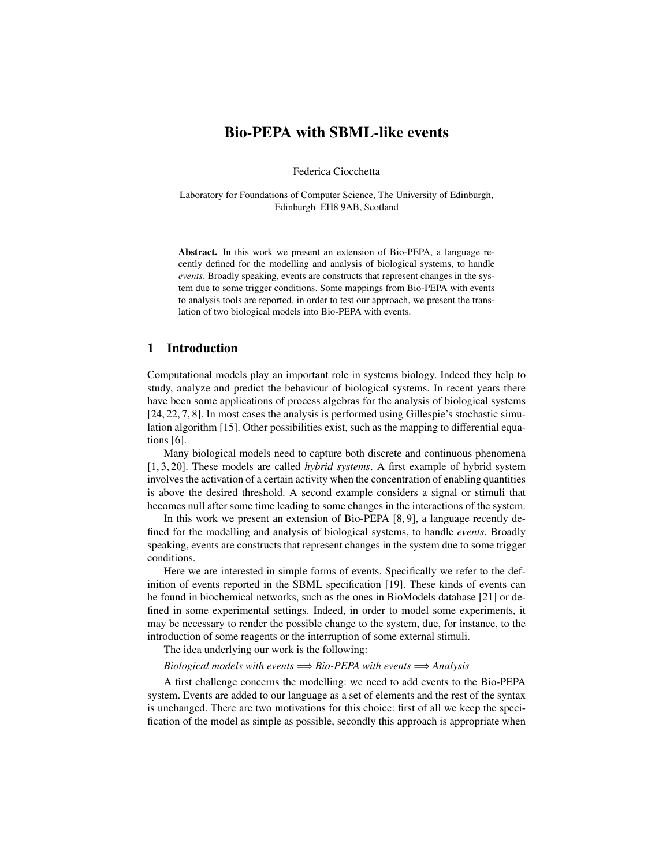# Bio-PEPA with SBML-like events

Federica Ciocchetta

Laboratory for Foundations of Computer Science, The University of Edinburgh, Edinburgh EH8 9AB, Scotland

Abstract. In this work we present an extension of Bio-PEPA, a language recently defined for the modelling and analysis of biological systems, to handle *events*. Broadly speaking, events are constructs that represent changes in the system due to some trigger conditions. Some mappings from Bio-PEPA with events to analysis tools are reported. in order to test our approach, we present the translation of two biological models into Bio-PEPA with events.

## 1 Introduction

Computational models play an important role in systems biology. Indeed they help to study, analyze and predict the behaviour of biological systems. In recent years there have been some applications of process algebras for the analysis of biological systems [24, 22, 7, 8]. In most cases the analysis is performed using Gillespie's stochastic simulation algorithm [15]. Other possibilities exist, such as the mapping to differential equations [6].

Many biological models need to capture both discrete and continuous phenomena [1, 3, 20]. These models are called *hybrid systems*. A first example of hybrid system involves the activation of a certain activity when the concentration of enabling quantities is above the desired threshold. A second example considers a signal or stimuli that becomes null after some time leading to some changes in the interactions of the system.

In this work we present an extension of Bio-PEPA [8, 9], a language recently defined for the modelling and analysis of biological systems, to handle *events*. Broadly speaking, events are constructs that represent changes in the system due to some trigger conditions.

Here we are interested in simple forms of events. Specifically we refer to the definition of events reported in the SBML specification [19]. These kinds of events can be found in biochemical networks, such as the ones in BioModels database [21] or defined in some experimental settings. Indeed, in order to model some experiments, it may be necessary to render the possible change to the system, due, for instance, to the introduction of some reagents or the interruption of some external stimuli.

The idea underlying our work is the following:

*Biological models with events* =⇒ *Bio-PEPA with events* =⇒ *Analysis*

A first challenge concerns the modelling: we need to add events to the Bio-PEPA system. Events are added to our language as a set of elements and the rest of the syntax is unchanged. There are two motivations for this choice: first of all we keep the specification of the model as simple as possible, secondly this approach is appropriate when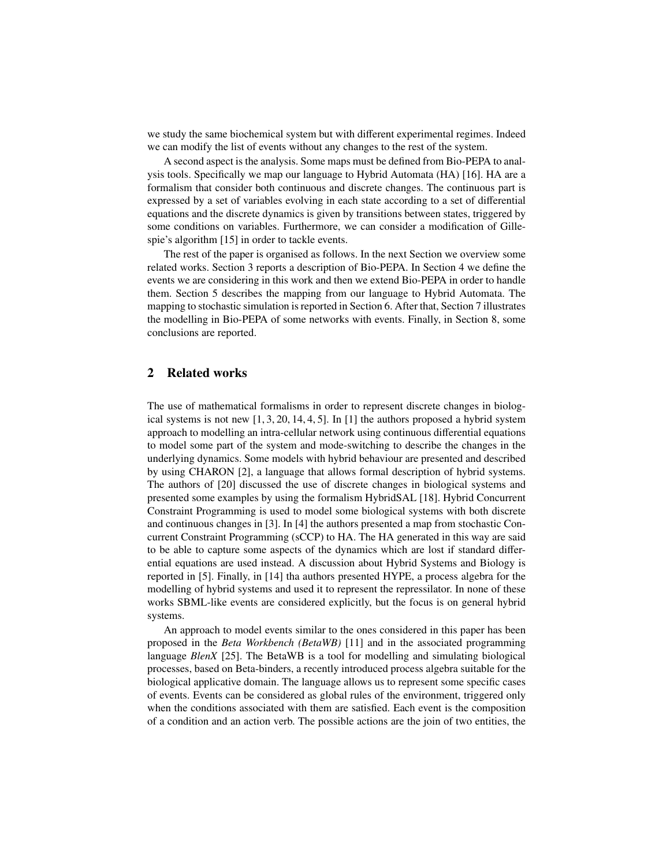we study the same biochemical system but with different experimental regimes. Indeed we can modify the list of events without any changes to the rest of the system.

A second aspect is the analysis. Some maps must be defined from Bio-PEPA to analysis tools. Specifically we map our language to Hybrid Automata (HA) [16]. HA are a formalism that consider both continuous and discrete changes. The continuous part is expressed by a set of variables evolving in each state according to a set of differential equations and the discrete dynamics is given by transitions between states, triggered by some conditions on variables. Furthermore, we can consider a modification of Gillespie's algorithm [15] in order to tackle events.

The rest of the paper is organised as follows. In the next Section we overview some related works. Section 3 reports a description of Bio-PEPA. In Section 4 we define the events we are considering in this work and then we extend Bio-PEPA in order to handle them. Section 5 describes the mapping from our language to Hybrid Automata. The mapping to stochastic simulation is reported in Section 6. After that, Section 7 illustrates the modelling in Bio-PEPA of some networks with events. Finally, in Section 8, some conclusions are reported.

## 2 Related works

The use of mathematical formalisms in order to represent discrete changes in biological systems is not new [1, 3, 20, 14, 4, 5]. In [1] the authors proposed a hybrid system approach to modelling an intra-cellular network using continuous differential equations to model some part of the system and mode-switching to describe the changes in the underlying dynamics. Some models with hybrid behaviour are presented and described by using CHARON [2], a language that allows formal description of hybrid systems. The authors of [20] discussed the use of discrete changes in biological systems and presented some examples by using the formalism HybridSAL [18]. Hybrid Concurrent Constraint Programming is used to model some biological systems with both discrete and continuous changes in [3]. In [4] the authors presented a map from stochastic Concurrent Constraint Programming (sCCP) to HA. The HA generated in this way are said to be able to capture some aspects of the dynamics which are lost if standard differential equations are used instead. A discussion about Hybrid Systems and Biology is reported in [5]. Finally, in [14] tha authors presented HYPE, a process algebra for the modelling of hybrid systems and used it to represent the repressilator. In none of these works SBML-like events are considered explicitly, but the focus is on general hybrid systems.

An approach to model events similar to the ones considered in this paper has been proposed in the *Beta Workbench (BetaWB)* [11] and in the associated programming language *BlenX* [25]. The BetaWB is a tool for modelling and simulating biological processes, based on Beta-binders, a recently introduced process algebra suitable for the biological applicative domain. The language allows us to represent some specific cases of events. Events can be considered as global rules of the environment, triggered only when the conditions associated with them are satisfied. Each event is the composition of a condition and an action verb. The possible actions are the join of two entities, the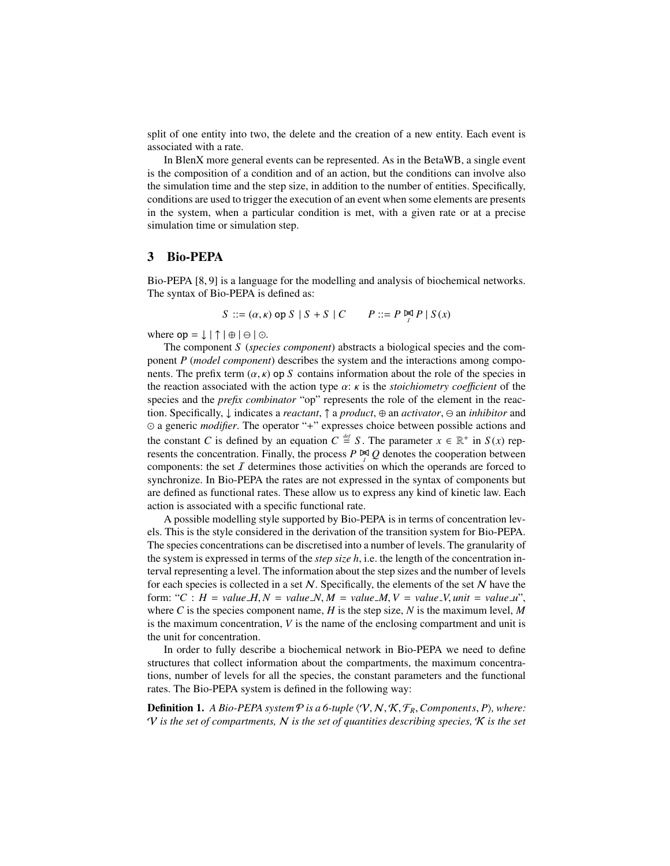split of one entity into two, the delete and the creation of a new entity. Each event is associated with a rate.

In BlenX more general events can be represented. As in the BetaWB, a single event is the composition of a condition and of an action, but the conditions can involve also the simulation time and the step size, in addition to the number of entities. Specifically, conditions are used to trigger the execution of an event when some elements are presents in the system, when a particular condition is met, with a given rate or at a precise simulation time or simulation step.

### 3 Bio-PEPA

Bio-PEPA [8, 9] is a language for the modelling and analysis of biochemical networks. The syntax of Bio-PEPA is defined as:

$$
S ::= (\alpha, \kappa) \text{ op } S \mid S + S \mid C \qquad P ::= P \bowtie P \mid S(x)
$$

where  $op = \downarrow | \uparrow | \oplus | \ominus | \odot$ .

The component *S* (*species component*) abstracts a biological species and the component *P* (*model component*) describes the system and the interactions among components. The prefix term  $(\alpha, \kappa)$  op *S* contains information about the role of the species in the reaction associated with the action type  $\alpha$ :  $\kappa$  is the *stoichiometry coefficient* of the species and the *prefix combinator* "op" represents the role of the element in the reaction. Specifically, ↓ indicates a *reactant*, ↑ a *product*, ⊕ an *activator*, an *inhibitor* and  a generic *modifier*. The operator "+" expresses choice between possible actions and the constant *C* is defined by an equation  $C \stackrel{\text{def}}{=} S$ . The parameter  $x \in \mathbb{R}^+$  in  $S(x)$  represents the concentration. Finally, the process  $P \not\cong Q$  denotes the cooperation between components: the set  $I$  determines those activities on which the operands are forced to synchronize. In Bio-PEPA the rates are not expressed in the syntax of components but are defined as functional rates. These allow us to express any kind of kinetic law. Each action is associated with a specific functional rate.

A possible modelling style supported by Bio-PEPA is in terms of concentration levels. This is the style considered in the derivation of the transition system for Bio-PEPA. The species concentrations can be discretised into a number of levels. The granularity of the system is expressed in terms of the *step size h*, i.e. the length of the concentration interval representing a level. The information about the step sizes and the number of levels for each species is collected in a set  $N$ . Specifically, the elements of the set N have the form: " $C : H = value \ H, N = value \ N, M = value \ M, V = value \ W, unit = value \ u$ ", where C is the species component name,  $H$  is the step size,  $N$  is the maximum level,  $M$ is the maximum concentration, *V* is the name of the enclosing compartment and unit is the unit for concentration.

In order to fully describe a biochemical network in Bio-PEPA we need to define structures that collect information about the compartments, the maximum concentrations, number of levels for all the species, the constant parameters and the functional rates. The Bio-PEPA system is defined in the following way:

**Definition 1.** *A Bio-PEPA system*  $P$  *is a 6-tuple*  $\langle V, N, \mathcal{K}, \mathcal{F}_R$ *, Components, P), where:* V *is the set of compartments,* N *is the set of quantities describing species,* K *is the set*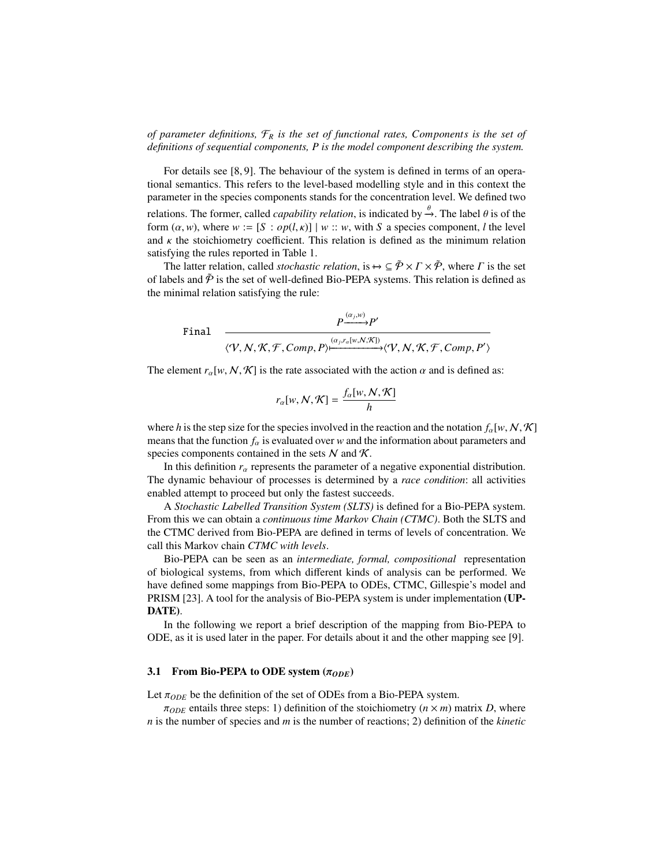*of parameter definitions,* F*<sup>R</sup> is the set of functional rates, Components is the set of definitions of sequential components, P is the model component describing the system.*

For details see [8, 9]. The behaviour of the system is defined in terms of an operational semantics. This refers to the level-based modelling style and in this context the parameter in the species components stands for the concentration level. We defined two relations. The former, called *capability relation*, is indicated by  $\rightarrow$ . The label  $\theta$  is of the form  $(\alpha, w)$ , where  $w := [S : \alpha p(Lx)] + w + w$ , with S a species component *l* the level form  $(\alpha, w)$ , where  $w := [S : op(l, \kappa)] | w :: w$ , with *S* a species component, *l* the level and  $\kappa$  the stoichiometry coefficient. This relation is defined as the minimum relation satisfying the rules reported in Table 1.

The latter relation, called *stochastic relation*, is  $\rightarrow \subseteq \tilde{\mathcal{P}} \times \Gamma \times \tilde{\mathcal{P}}$ , where  $\Gamma$  is the set of labels and  $\tilde{\mathcal{P}}$  is the set of well-defined Bio-PEPA systems. This relation is defined as the minimal relation satisfying the rule:

$$
\begin{array}{cc}\n & P \xrightarrow{(\alpha_j, w)} P' \\
\hline\n\langle \mathcal{V}, \mathcal{N}, \mathcal{K}, \mathcal{F}, Comp, P \rangle \xrightarrow{(\alpha_j, r_a[w, \mathcal{N}, \mathcal{K}])} \langle \mathcal{V}, \mathcal{N}, \mathcal{K}, \mathcal{F}, Comp, P' \rangle}\n\end{array}
$$

The element  $r_{\alpha}[w, N, \mathcal{K}]$  is the rate associated with the action  $\alpha$  and is defined as:

$$
r_{\alpha}[w, N, \mathcal{K}] = \frac{f_{\alpha}[w, N, \mathcal{K}]}{h}
$$

where *h* is the step size for the species involved in the reaction and the notation  $f_\alpha[w, N, \mathcal{K}]$ means that the function  $f_\alpha$  is evaluated over *w* and the information about parameters and species components contained in the sets  $N$  and  $K$ .

In this definition  $r_\alpha$  represents the parameter of a negative exponential distribution. The dynamic behaviour of processes is determined by a *race condition*: all activities enabled attempt to proceed but only the fastest succeeds.

A *Stochastic Labelled Transition System (SLTS)* is defined for a Bio-PEPA system. From this we can obtain a *continuous time Markov Chain (CTMC)*. Both the SLTS and the CTMC derived from Bio-PEPA are defined in terms of levels of concentration. We call this Markov chain *CTMC with levels*.

Bio-PEPA can be seen as an *intermediate, formal, compositional* representation of biological systems, from which different kinds of analysis can be performed. We have defined some mappings from Bio-PEPA to ODEs, CTMC, Gillespie's model and PRISM [23]. A tool for the analysis of Bio-PEPA system is under implementation (UP-DATE).

In the following we report a brief description of the mapping from Bio-PEPA to ODE, as it is used later in the paper. For details about it and the other mapping see [9].

### 3.1 From Bio-PEPA to ODE system  $(\pi_{ODE})$

 $\overline{F}$ 

Let  $\pi_{ODE}$  be the definition of the set of ODEs from a Bio-PEPA system.

 $\pi_{ODE}$  entails three steps: 1) definition of the stoichiometry ( $n \times m$ ) matrix *D*, where *n* is the number of species and *m* is the number of reactions; 2) definition of the *kinetic*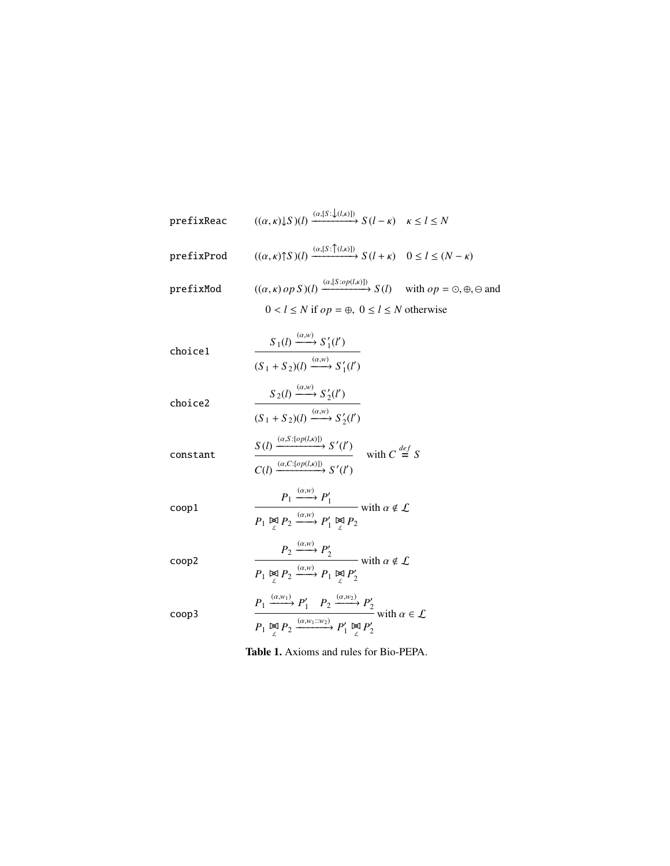prefixReac 
$$
((\alpha, \kappa) \downarrow S)(l) \xrightarrow{(\alpha, [S : \downarrow (l, \kappa)])} S(l - \kappa) \kappa \le l \le N
$$
  
\nprefixProd  $((\alpha, \kappa) \uparrow S)(l) \xrightarrow{(\alpha, [S : \phi(l, \kappa)])} S(l + \kappa) \quad 0 \le l \le (N - \kappa)$   
\nprefixMod  $((\alpha, \kappa) \circ \rho S)(l) \xrightarrow{(\alpha, [S : \phi \rho(l, \kappa)])} S(l) \text{ with } \circ \rho = \circ, \oplus, \ominus \text{ and } 0 < l \le N \text{ otherwise}$   
\nchoice1 
$$
\frac{S_1(l) \xrightarrow{(\alpha, \kappa)} S'_1(l')}{(S_1 + S_2)(l) \xrightarrow{(\alpha, \kappa)} S'_1(l')}
$$
\nchoice2 
$$
\frac{S_2(l) \xrightarrow{(\alpha, \kappa)} S'_2(l')}{(S_1 + S_2)(l) \xrightarrow{(\alpha, \kappa)} S'_2(l')}
$$
\nconstant 
$$
\frac{S(l) \xrightarrow{(\alpha, \kappa)} S'_2(l')}{C(l) \xrightarrow{(\alpha, \kappa) \circ \rho(l, \kappa) \circ \rho}} S'(l') \text{ with } C \stackrel{\text{def}}{=} S
$$
\ncoop1 
$$
\frac{P_1 \xrightarrow{(\alpha, \kappa)} P'_1}{P_1 \xrightarrow{\kappa} P_2} \xrightarrow{P'_1 \xrightarrow{\kappa} P'_2} \text{ with } \alpha \notin \mathcal{L}
$$
\ncoop2 
$$
\frac{P_2 \xrightarrow{(\alpha, \kappa)} P'_1 \xrightarrow{\kappa} P'_2}{P_1 \xrightarrow{\kappa} P_2} \text{ with } \alpha \notin \mathcal{L}
$$
\ncoop3 
$$
\frac{P_1 \xrightarrow{(\alpha, \kappa)} P'_1}{P_1 \xrightarrow{\kappa} P_2} \xrightarrow{P_1 \xrightarrow{\kappa} P'_2} \text{ with } \alpha \in \mathcal{L}
$$
\nTable 1. Axioms and rules for Bio-PEPA.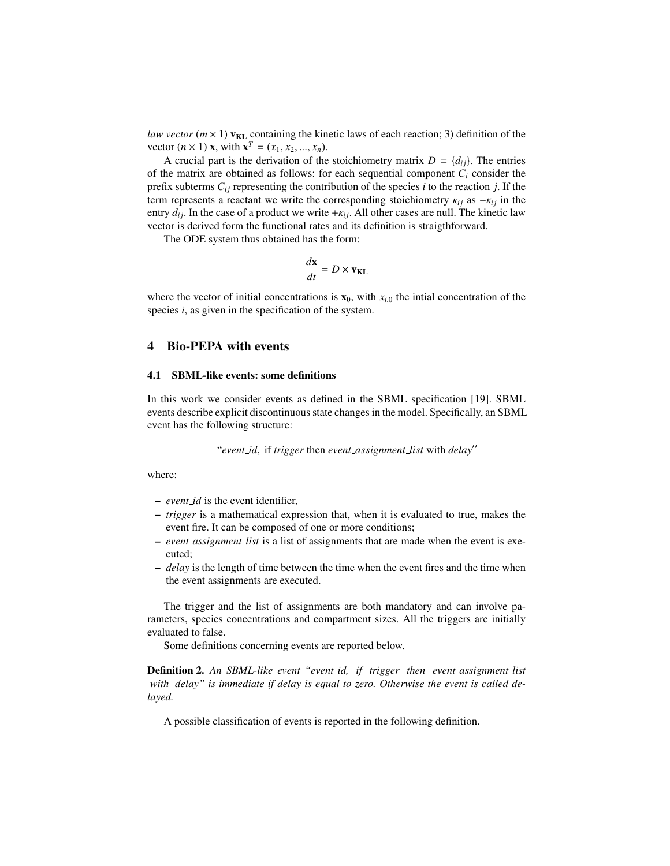*law vector* ( $m \times 1$ )  $v_{KL}$  containing the kinetic laws of each reaction; 3) definition of the vector  $(n \times 1)$  **x**, with  $\mathbf{x}^T = (x_1, x_2, ..., x_n)$ .<br>A crucial part is the derivation of the

A crucial part is the derivation of the stoichiometry matrix  $D = \{d_{ij}\}\$ . The entries of the matrix are obtained as follows: for each sequential component  $C_i$  consider the prefix subterms  $C_{ij}$  representing the contribution of the species *i* to the reaction *j*. If the term represents a reactant we write the corresponding stoichiometry  $\kappa_{ij}$  as  $-\kappa_{ij}$  in the entry  $d_{ij}$ . In the case of a product we write  $+\kappa_{ij}$ . All other cases are null. The kinetic law vector is derived form the functional rates and its definition is straigthforward.

The ODE system thus obtained has the form:

$$
\frac{d\mathbf{x}}{dt} = D \times \mathbf{v}_{\text{KL}}
$$

where the vector of initial concentrations is  $\mathbf{x}_0$ , with  $x_{i,0}$  the intial concentration of the species *i*, as given in the specification of the system.

## 4 Bio-PEPA with events

### 4.1 SBML-like events: some definitions

In this work we consider events as defined in the SBML specification [19]. SBML events describe explicit discontinuous state changes in the model. Specifically, an SBML event has the following structure:

"event\_id, if *trigger* then *event\_assignment\_list* with *delay*"

where:

- *event id* is the event identifier,
- *trigger* is a mathematical expression that, when it is evaluated to true, makes the event fire. It can be composed of one or more conditions;
- *event assignment list* is a list of assignments that are made when the event is executed;
- *delay* is the length of time between the time when the event fires and the time when the event assignments are executed.

The trigger and the list of assignments are both mandatory and can involve parameters, species concentrations and compartment sizes. All the triggers are initially evaluated to false.

Some definitions concerning events are reported below.

Definition 2. *An SBML-like event "event id, if trigger then event assignment list with delay" is immediate if delay is equal to zero. Otherwise the event is called delayed.*

A possible classification of events is reported in the following definition.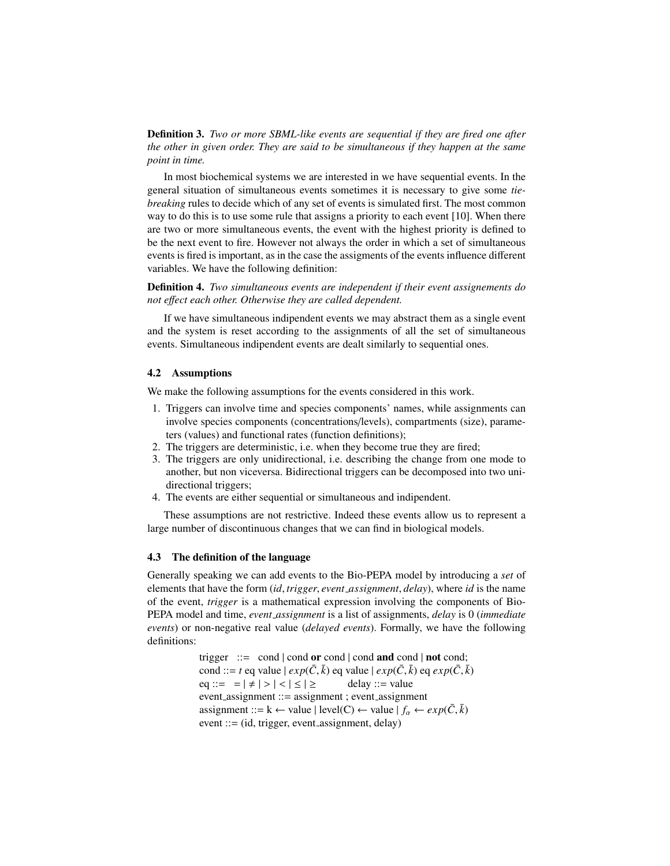Definition 3. *Two or more SBML-like events are sequential if they are fired one after the other in given order. They are said to be simultaneous if they happen at the same point in time.*

In most biochemical systems we are interested in we have sequential events. In the general situation of simultaneous events sometimes it is necessary to give some *tiebreaking* rules to decide which of any set of events is simulated first. The most common way to do this is to use some rule that assigns a priority to each event [10]. When there are two or more simultaneous events, the event with the highest priority is defined to be the next event to fire. However not always the order in which a set of simultaneous events is fired is important, as in the case the assigments of the events influence different variables. We have the following definition:

Definition 4. *Two simultaneous events are independent if their event assignements do not e*ff*ect each other. Otherwise they are called dependent.*

If we have simultaneous indipendent events we may abstract them as a single event and the system is reset according to the assignments of all the set of simultaneous events. Simultaneous indipendent events are dealt similarly to sequential ones.

### 4.2 Assumptions

We make the following assumptions for the events considered in this work.

- 1. Triggers can involve time and species components' names, while assignments can involve species components (concentrations/levels), compartments (size), parameters (values) and functional rates (function definitions);
- 2. The triggers are deterministic, i.e. when they become true they are fired;
- 3. The triggers are only unidirectional, i.e. describing the change from one mode to another, but non viceversa. Bidirectional triggers can be decomposed into two unidirectional triggers;
- 4. The events are either sequential or simultaneous and indipendent.

These assumptions are not restrictive. Indeed these events allow us to represent a large number of discontinuous changes that we can find in biological models.

### 4.3 The definition of the language

Generally speaking we can add events to the Bio-PEPA model by introducing a *set* of elements that have the form (*id*, *trigger*, *event assignment*, *delay*), where *id* is the name of the event, *trigger* is a mathematical expression involving the components of Bio-PEPA model and time, *event assignment* is a list of assignments, *delay* is 0 (*immediate events*) or non-negative real value (*delayed events*). Formally, we have the following definitions:

> trigger  $\therefore$  cond | cond or cond | cond and cond | not cond; cond ::= *t* eq value  $| exp(\bar{C}, \bar{k})$  eq value  $| exp(\bar{C}, \bar{k})$  eq  $exp(\bar{C}, \bar{k})$ <br>eq ::=  $-|f| > |g| < |g|$  delay ::= value eq ::=  $= | \neq | > | < | \leq | \geq$  delay ::= value<br>event\_assignment ::= assignment ; event\_assignment assignment ::= k ← value | level(C) ← value  $| f_\alpha \leftarrow exp(\bar{C}, \bar{k})$ <br>event ::= (id trigger event assignment delay) event ::= (id, trigger, event assignment, delay)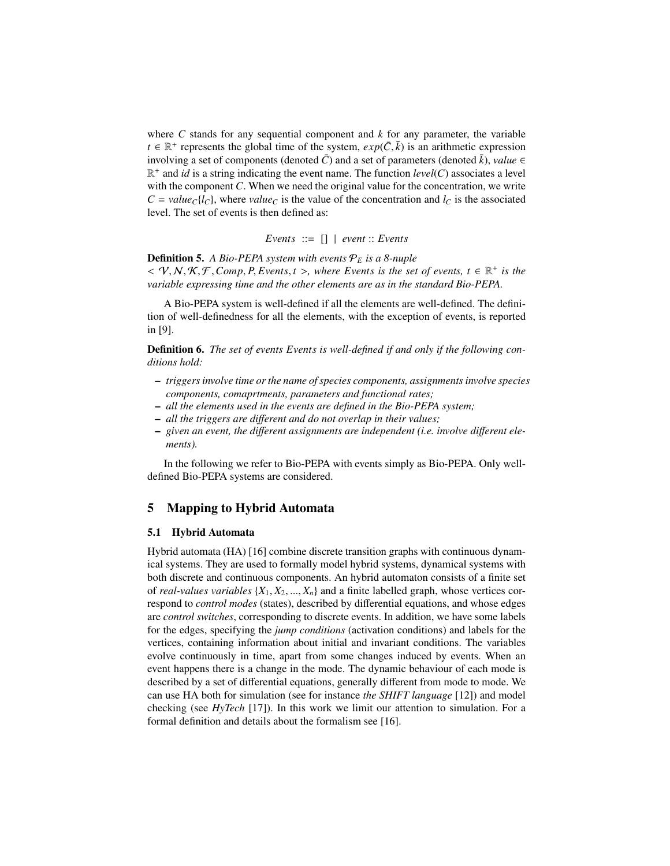where  $C$  stands for any sequential component and  $k$  for any parameter, the variable  $t \in \mathbb{R}^+$  represents the global time of the system,  $exp(\bar{C}, \bar{k})$  is an arithmetic expression<br>involving a set of components (denoted  $\bar{C}$ ) and a set of parameters (denoted  $\bar{k}$ ) value  $\epsilon$ involving a set of components (denoted  $\overline{C}$ ) and a set of parameters (denoted  $\overline{k}$ ), *value* ∈  $\mathbb{R}^+$  and *id* is a string indicating the event name. The function *level*(*C*) associates a level with the component *C*. When we need the original value for the concentration, we write  $C = value_{C}$ {*l<sub>C</sub>*}, where *value<sub>C</sub>* is the value of the concentration and *l<sub>C</sub>* is the associated level. The set of events is then defined as:

*Events* ::= [] | *event* :: *Events*

Definition 5. *A Bio-PEPA system with events* P*<sup>E</sup> is a 8-nuple*

 $\langle V, N, K, F, Comp, P, Events, t \rangle$ , where Events is the set of events,  $t \in \mathbb{R}^+$  is the variable expressing time and the other elements are as in the standard Bio-PFPA *variable expressing time and the other elements are as in the standard Bio-PEPA.*

A Bio-PEPA system is well-defined if all the elements are well-defined. The definition of well-definedness for all the elements, with the exception of events, is reported in [9].

Definition 6. *The set of events Events is well-defined if and only if the following conditions hold:*

- *triggers involve time or the name of species components, assignments involve species components, comaprtments, parameters and functional rates;*
- *all the elements used in the events are defined in the Bio-PEPA system;*
- *all the triggers are di*ff*erent and do not overlap in their values;*
- *given an event, the di*ff*erent assignments are independent (i.e. involve di*ff*erent elements).*

In the following we refer to Bio-PEPA with events simply as Bio-PEPA. Only welldefined Bio-PEPA systems are considered.

## 5 Mapping to Hybrid Automata

## 5.1 Hybrid Automata

Hybrid automata (HA) [16] combine discrete transition graphs with continuous dynamical systems. They are used to formally model hybrid systems, dynamical systems with both discrete and continuous components. An hybrid automaton consists of a finite set of *real-values variables*  $\{X_1, X_2, ..., X_n\}$  and a finite labelled graph, whose vertices correspond to *control modes* (states), described by differential equations, and whose edges are *control switches*, corresponding to discrete events. In addition, we have some labels for the edges, specifying the *jump conditions* (activation conditions) and labels for the vertices, containing information about initial and invariant conditions. The variables evolve continuously in time, apart from some changes induced by events. When an event happens there is a change in the mode. The dynamic behaviour of each mode is described by a set of differential equations, generally different from mode to mode. We can use HA both for simulation (see for instance *the SHIFT language* [12]) and model checking (see *HyTech* [17]). In this work we limit our attention to simulation. For a formal definition and details about the formalism see [16].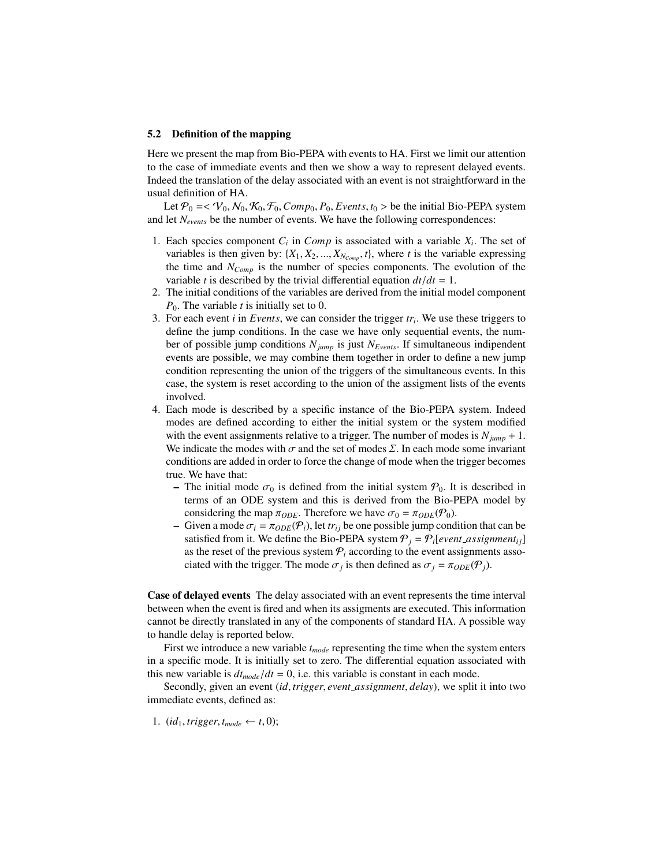#### 5.2 Definition of the mapping

Here we present the map from Bio-PEPA with events to HA. First we limit our attention to the case of immediate events and then we show a way to represent delayed events. Indeed the translation of the delay associated with an event is not straightforward in the usual definition of HA.

Let  $\mathcal{P}_0 = \langle V_0, N_0, \mathcal{K}_0, \mathcal{F}_0, Comp_0, P_0, Events, t_0 \rangle$  be the initial Bio-PEPA system and let *Nevents* be the number of events. We have the following correspondences:

- 1. Each species component  $C_i$  in *Comp* is associated with a variable  $X_i$ . The set of variables is then given by:  $\{X_1, X_2, ..., X_{N_{Comp}}, t\}$ , where *t* is the variable expressing the time and *NComp* is the number of species components. The evolution of the variable *t* is described by the trivial differential equation  $dt/dt = 1$ .
- 2. The initial conditions of the variables are derived from the initial model component *P*0. The variable *t* is initially set to 0.
- 3. For each event *i* in *Events*, we can consider the trigger *tr<sup>i</sup>* . We use these triggers to define the jump conditions. In the case we have only sequential events, the number of possible jump conditions *Njump* is just *NEvents*. If simultaneous indipendent events are possible, we may combine them together in order to define a new jump condition representing the union of the triggers of the simultaneous events. In this case, the system is reset according to the union of the assigment lists of the events involved.
- 4. Each mode is described by a specific instance of the Bio-PEPA system. Indeed modes are defined according to either the initial system or the system modified with the event assignments relative to a trigger. The number of modes is  $N_{jump} + 1$ . We indicate the modes with  $\sigma$  and the set of modes  $\Sigma$ . In each mode some invariant conditions are added in order to force the change of mode when the trigger becomes true. We have that:
	- The initial mode  $\sigma_0$  is defined from the initial system  $\mathcal{P}_0$ . It is described in terms of an ODE system and this is derived from the Bio-PEPA model by considering the map  $\pi_{ODE}$ . Therefore we have  $\sigma_0 = \pi_{ODE}(\mathcal{P}_0)$ .
	- Given a mode  $\sigma_i = \pi_{ODE}(\mathcal{P}_i)$ , let  $tr_{ij}$  be one possible jump condition that can be satisfied from it. We define the Bio-PEPA system  $P_i = P_i[event\_assignment_i]$ as the reset of the previous system  $P_i$  according to the event assignments associated with the trigger. The mode  $\sigma_j$  is then defined as  $\sigma_j = \pi_{ODE}(\mathcal{P}_j)$ .

Case of delayed events The delay associated with an event represents the time interval between when the event is fired and when its assigments are executed. This information cannot be directly translated in any of the components of standard HA. A possible way to handle delay is reported below.

First we introduce a new variable  $t_{mode}$  representing the time when the system enters in a specific mode. It is initially set to zero. The differential equation associated with this new variable is  $dt_{mode}/dt = 0$ , i.e. this variable is constant in each mode.

Secondly, given an event (*id*, *trigger*, *event assignment*, *delay*), we split it into two immediate events, defined as:

1.  $(id_1, trigger, t_{mode} \leftarrow t, 0);$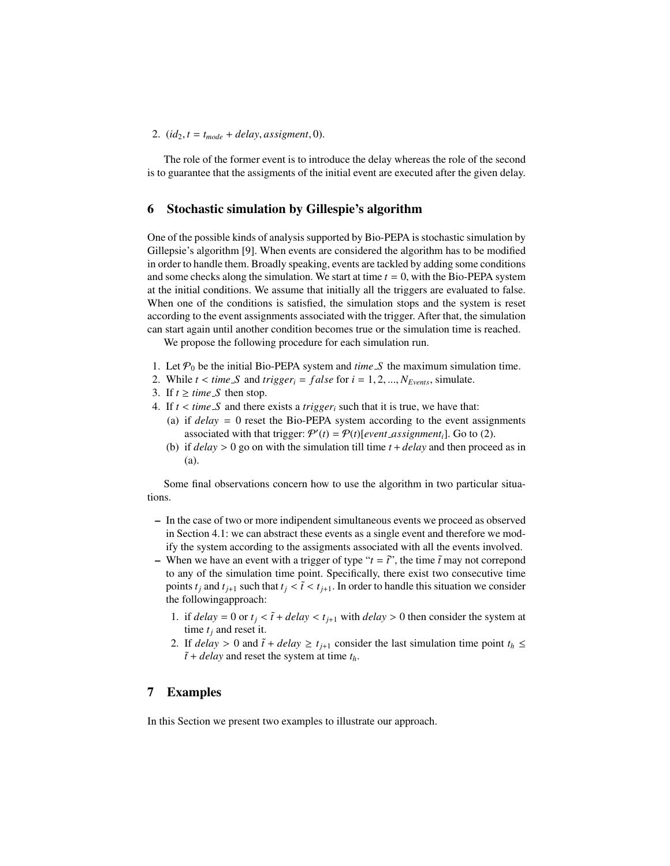### 2.  $(id_2, t = t_{mode} + delay, assignment, 0)$ .

The role of the former event is to introduce the delay whereas the role of the second is to guarantee that the assigments of the initial event are executed after the given delay.

## 6 Stochastic simulation by Gillespie's algorithm

One of the possible kinds of analysis supported by Bio-PEPA is stochastic simulation by Gillepsie's algorithm [9]. When events are considered the algorithm has to be modified in order to handle them. Broadly speaking, events are tackled by adding some conditions and some checks along the simulation. We start at time  $t = 0$ , with the Bio-PEPA system at the initial conditions. We assume that initially all the triggers are evaluated to false. When one of the conditions is satisfied, the simulation stops and the system is reset according to the event assignments associated with the trigger. After that, the simulation can start again until another condition becomes true or the simulation time is reached.

We propose the following procedure for each simulation run.

- 1. Let  $\mathcal{P}_0$  be the initial Bio-PEPA system and *time S* the maximum simulation time.
- 2. While  $t < time \ S$  and  $trigger_i = false$  for  $i = 1, 2, ..., N_{Events}$ , simulate.
- 3. If  $t \geq$  *time S* then stop.
- 4. If  $t < time \ S$  and there exists a *trigger<sub>i</sub>* such that it is true, we have that:
	- (a) if *delay* = 0 reset the Bio-PEPA system according to the event assignments associated with that trigger:  $P'(t) = P(t)$ [*event\_assignment<sub>i</sub>*]. Go to (2).
	- (b) if *delay* > 0 go on with the simulation till time *<sup>t</sup>* <sup>+</sup> *delay* and then proceed as in (a).

Some final observations concern how to use the algorithm in two particular situations.

- In the case of two or more indipendent simultaneous events we proceed as observed in Section 4.1: we can abstract these events as a single event and therefore we modify the system according to the assigments associated with all the events involved.
- When we have an event with a trigger of type " $t = \tilde{t}$ ", the time  $\tilde{t}$  may not correpond to any of the simulation time point. Specifically, there exist two consecutive time points  $t_j$  and  $t_{j+1}$  such that  $t_j < \tilde{t} < t_{j+1}$ . In order to handle this situation we consider the followingapproach:
	- 1. if  $delay = 0$  or  $t_i < \tilde{t} + delay < t_{i+1}$  with  $delay > 0$  then consider the system at time *t<sup>j</sup>* and reset it.
	- 2. If *delay* > 0 and  $\tilde{t}$  + *delay*  $\geq t_{j+1}$  consider the last simulation time point  $t_h \leq$  $\tilde{t}$  + *delay* and reset the system at time  $t_h$ .

## 7 Examples

In this Section we present two examples to illustrate our approach.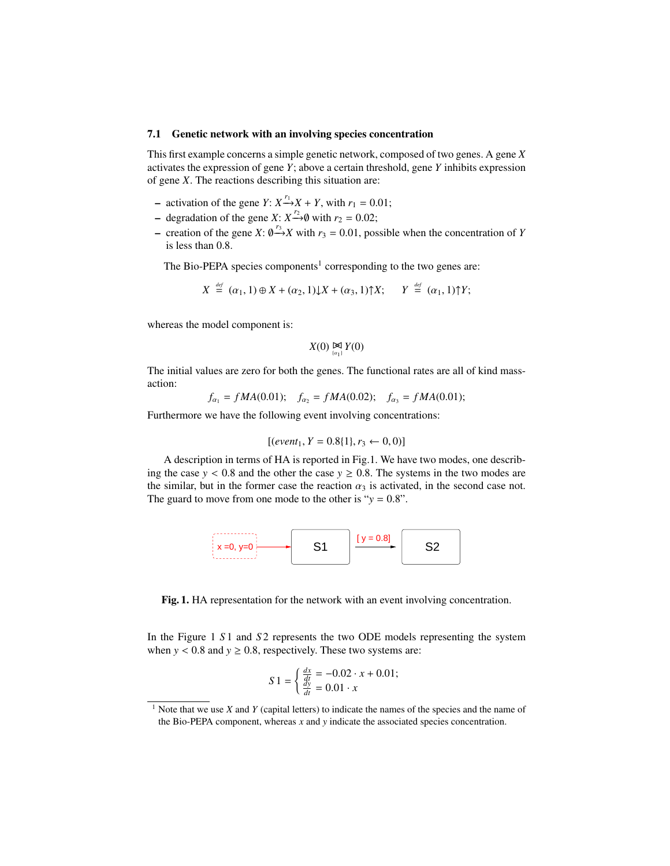### 7.1 Genetic network with an involving species concentration

This first example concerns a simple genetic network, composed of two genes. A gene *X* activates the expression of gene *Y*; above a certain threshold, gene *Y* inhibits expression of gene *X*. The reactions describing this situation are:

- − activation of the gene *Y*:  $X^{r_1}$ → $X$  + *Y*, with  $r_1$  = 0.01;
- − degradation of the gene *X*:  $X^{r_2}\rightarrow$ **①** with  $r_2 = 0.02$ ;
- − creation of the gene *X*:  $\emptyset \rightarrow X$  with *r*<sub>3</sub> = 0.01, possible when the concentration of *Y* is less than 0.8 is less than 0.8.

The Bio-PEPA species components<sup>1</sup> corresponding to the two genes are:

$$
X \stackrel{\text{\tiny def}}{=} (\alpha_1, 1) \oplus X + (\alpha_2, 1) \downarrow X + (\alpha_3, 1) \uparrow X; \qquad Y \stackrel{\text{\tiny def}}{=} (\alpha_1, 1) \uparrow Y;
$$

whereas the model component is:

$$
X(0) \underset{\{\alpha_1\}}{\bowtie} Y(0)
$$

The initial values are zero for both the genes. The functional rates are all of kind massaction:

$$
f_{\alpha_1} = fMA(0.01);
$$
  $f_{\alpha_2} = fMA(0.02);$   $f_{\alpha_3} = fMA(0.01);$ 

Furthermore we have the following event involving concentrations:

$$
[(event_1, Y = 0.8[1), r_3 \leftarrow 0, 0)]
$$

A description in terms of HA is reported in Fig.1. We have two modes, one describing the case  $y < 0.8$  and the other the case  $y \ge 0.8$ . The systems in the two modes are the similar, but in the former case the reaction  $\alpha_3$  is activated, in the second case not. The guard to move from one mode to the other is " $y = 0.8$ ".



Fig. 1. HA representation for the network with an event involving concentration.

In the Figure 1 *S* 1 and *S* 2 represents the two ODE models representing the system when  $y < 0.8$  and  $y \ge 0.8$ , respectively. These two systems are:

$$
S1 = \begin{cases} \frac{dx}{dt} = -0.02 \cdot x + 0.01; \\ \frac{dy}{dt} = 0.01 \cdot x \end{cases}
$$

<sup>&</sup>lt;sup>1</sup> Note that we use *X* and *Y* (capital letters) to indicate the names of the species and the name of the Bio-PEPA component, whereas *x* and *y* indicate the associated species concentration.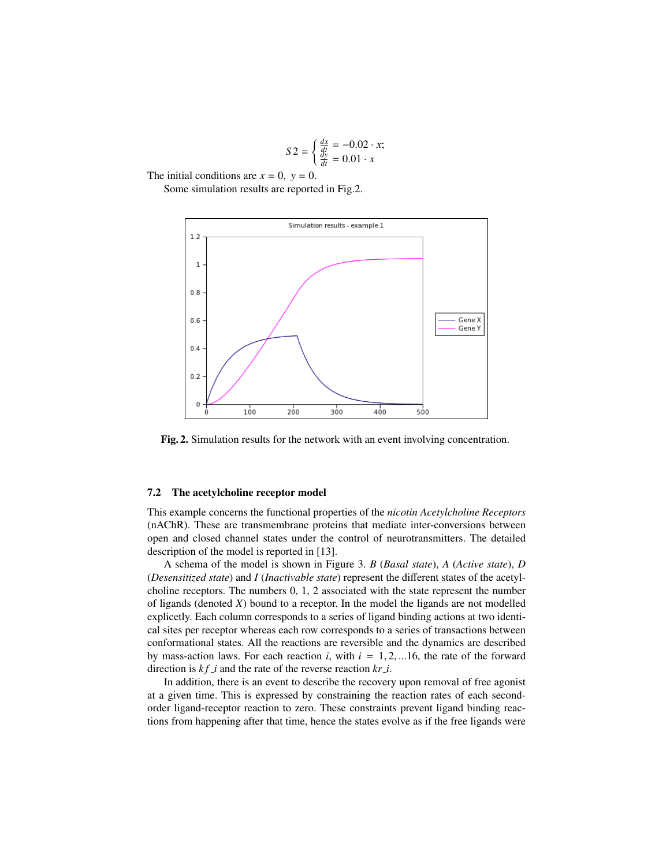$$
S2 = \begin{cases} \frac{dx}{dt} = -0.02 \cdot x; \\ \frac{dy}{dt} = 0.01 \cdot x \end{cases}
$$

The initial conditions are  $x = 0$ ,  $y = 0$ .

Some simulation results are reported in Fig.2.



Fig. 2. Simulation results for the network with an event involving concentration.

### 7.2 The acetylcholine receptor model

This example concerns the functional properties of the *nicotin Acetylcholine Receptors* (nAChR). These are transmembrane proteins that mediate inter-conversions between open and closed channel states under the control of neurotransmitters. The detailed description of the model is reported in [13].

A schema of the model is shown in Figure 3. *B* (*Basal state*), *A* (*Active state*), *D* (*Desensitized state*) and *I* (*Inactivable state*) represent the different states of the acetylcholine receptors. The numbers 0, 1, 2 associated with the state represent the number of ligands (denoted *X*) bound to a receptor. In the model the ligands are not modelled explicetly. Each column corresponds to a series of ligand binding actions at two identical sites per receptor whereas each row corresponds to a series of transactions between conformational states. All the reactions are reversible and the dynamics are described by mass-action laws. For each reaction  $i$ , with  $i = 1, 2, ...16$ , the rate of the forward direction is  $kf_i$  and the rate of the reverse reaction  $kr_i$ .

In addition, there is an event to describe the recovery upon removal of free agonist at a given time. This is expressed by constraining the reaction rates of each secondorder ligand-receptor reaction to zero. These constraints prevent ligand binding reactions from happening after that time, hence the states evolve as if the free ligands were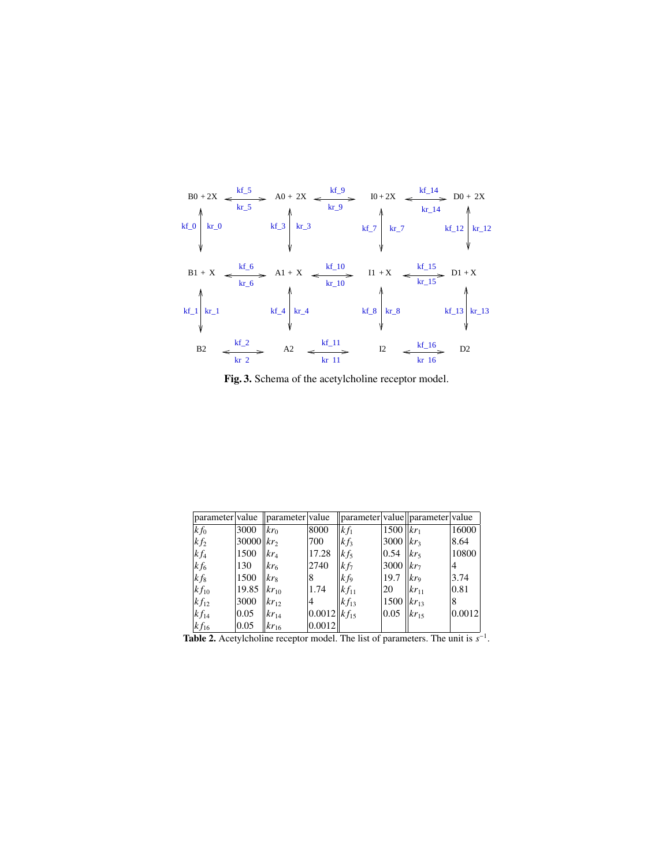

Fig. 3. Schema of the acetylcholine receptor model.

| parameter value                                                                              |                   | parameter value         |                       | parameter value  parameter value |                  |                             |        |
|----------------------------------------------------------------------------------------------|-------------------|-------------------------|-----------------------|----------------------------------|------------------|-----------------------------|--------|
| $kf_0$                                                                                       | 3000              | kr <sub>0</sub>         | 8000                  | $kf_1$                           | $1500$   $kr_1$  |                             | 16000  |
| $kf_2$                                                                                       | $30000$    $kr_2$ |                         | 700                   | $kf_3$                           | 3000 $ kr_3 $    |                             | 8.64   |
| $kf_4$                                                                                       | 1500              | $\frac{kr_{4}}{kr_{4}}$ | 17.28                 | $k f_5$                          | 0.54             | kr <sub>5</sub>             | 10800  |
| $kf_6$                                                                                       | 130               | $kr_{6}$                | 2740                  | $k f_7$                          | 3000             | $\parallel$ kr <sub>7</sub> | 4      |
| $kf_8$                                                                                       | 1500              | kr <sub>8</sub>         | 8                     | $kf_9$                           | 19.7             | $kr_9$                      | 3.74   |
| $kf_{10}$                                                                                    | 19.85             | $ kr_{10} $             | 1.74                  | $k f_{11}$                       | 20               | $ kr_{11} $                 | 0.81   |
| $kf_{12}$                                                                                    | 3000              | $kr_{12}$               | 4                     | $kf_{13}$                        | 1500 $ kr_{13} $ |                             | 8      |
| $kf_{14}$                                                                                    | 0.05              | $ kr_{14} $             | $ 0.0012 $ k $f_{15}$ |                                  | 0.05             | $kr_1$                      | 0.0012 |
| $kf_{16}$                                                                                    | 0.05              | $ kr_{16} $             | 0.0012                |                                  |                  |                             |        |
| <b>Table 2.</b> Acetylcholine receptor model. The list of parameters. The unit is $s^{-1}$ . |                   |                         |                       |                                  |                  |                             |        |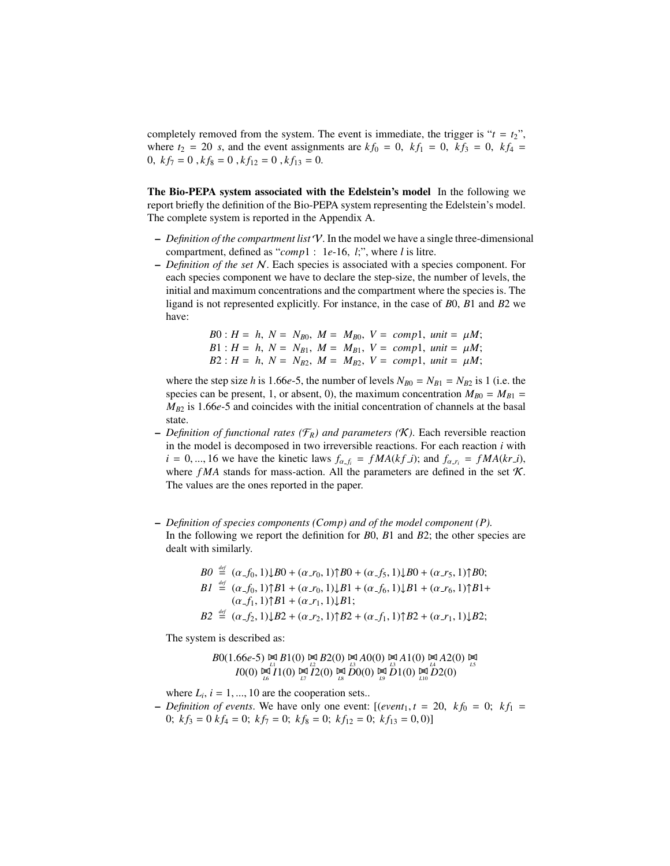completely removed from the system. The event is immediate, the trigger is " $t = t_2$ ", where  $t_2 = 20$  *s*, and the event assignments are  $kf_0 = 0$ ,  $kf_1 = 0$ ,  $kf_3 = 0$ ,  $kf_4 =$ 0,  $kf_7 = 0$ ,  $kf_8 = 0$ ,  $kf_{12} = 0$ ,  $kf_{13} = 0$ .

The Bio-PEPA system associated with the Edelstein's model In the following we report briefly the definition of the Bio-PEPA system representing the Edelstein's model. The complete system is reported in the Appendix A.

- *Definition of the compartment list* V. In the model we have a single three-dimensional compartment, defined as "*comp*1 : 1*e*-16, *<sup>l</sup>*;", where *<sup>l</sup>* is litre.
- *Definition of the set* N. Each species is associated with a species component. For each species component we have to declare the step-size, the number of levels, the initial and maximum concentrations and the compartment where the species is. The ligand is not represented explicitly. For instance, in the case of *B*0, *B*1 and *B*2 we have:

B0: 
$$
H = h
$$
,  $N = N_{B0}$ ,  $M = M_{B0}$ ,  $V = comp1$ , *unit* =  $\mu M$ ;  
\n $B1 : H = h$ ,  $N = N_{B1}$ ,  $M = M_{B1}$ ,  $V = comp1$ , *unit* =  $\mu M$ ;  
\n $B2 : H = h$ ,  $N = N_{B2}$ ,  $M = M_{B2}$ ,  $V = comp1$ , *unit* =  $\mu M$ ;  
\n $\mu M$ 

where the step size *h* is 1.66*e*-5, the number of levels  $N_{B0} = N_{B1} = N_{B2}$  is 1 (i.e. the species can be present, 1, or absent, 0), the maximum concentration  $M_{B0} = M_{B1}$  $M_{B2}$  is 1.66*e*-5 and coincides with the initial concentration of channels at the basal state.

- $-$  *Definition of functional rates (* $\mathcal{F}_R$ *) and parameters (K).* Each reversible reaction in the model is decomposed in two irreversible reactions. For each reaction *i* with  $i = 0, \ldots, 16$  we have the kinetic laws  $f_{\alpha f_i} = fMA(kf_i)$ ; and  $f_{\alpha r_i} = fMA(kr_i)$ , where  $fMA$  stands for mass-action. All the parameters are defined in the set  $K$ . The values are the ones reported in the paper.
- *Definition of species components (Comp) and of the model component (P).* In the following we report the definition for *B*0, *B*1 and *B*2; the other species are dealt with similarly.

B0 
$$
\stackrel{\text{def}}{=} (\alpha_{-}f_0, 1) \downarrow B0 + (\alpha_{-}r_0, 1) \uparrow B0 + (\alpha_{-}f_5, 1) \downarrow B0 + (\alpha_{-}r_5, 1) \uparrow B0;
$$
  
\nB1  $\stackrel{\text{def}}{=} (\alpha_{-}f_0, 1) \uparrow B1 + (\alpha_{-}r_0, 1) \downarrow B1 + (\alpha_{-}f_6, 1) \downarrow B1 + (\alpha_{-}r_6, 1) \uparrow B1 + (\alpha_{-}r_1, 1) \uparrow B1 + (\alpha_{-}r_1, 1) \downarrow B1;$   
\nB2  $\stackrel{\text{def}}{=} (\alpha_{-}f_2, 1) \downarrow B2 + (\alpha_{-}r_2, 1) \uparrow B2 + (\alpha_{-}f_1, 1) \uparrow B2 + (\alpha_{-}r_1, 1) \downarrow B2;$ 

The system is described as:

B0(1.66e-5) 
$$
\underset{L}{\bowtie}
$$
 B1(0)  $\underset{L}{\bowtie}$  B2(0)  $\underset{L}{\bowtie}$  A0(0)  $\underset{L}{\bowtie}$  A1(0)  $\underset{L}{\bowtie}$  A2(0)  $\underset{L}{\bowtie}$   
\n $I0(0) \underset{L}{\bowtie}$  I1(0)  $\underset{L}{\bowtie}$  I2(0)  $\underset{L}{\bowtie}$  D0(0)  $\underset{L}{\bowtie}$  D1(0)  $\underset{L}{\bowtie}$  D2(0)

where  $L_i$ ,  $i = 1, ..., 10$  are the cooperation sets...<br>Definition of events. We have only one event:

 $-$  *Definition of events*. We have only one event: [(*event*<sub>1</sub>,  $t = 20$ ,  $kf_0 = 0$ ;  $kf_1 =$ 0;  $kf_3 = 0$   $kf_4 = 0$ ;  $kf_7 = 0$ ;  $kf_8 = 0$ ;  $kf_{12} = 0$ ;  $kf_{13} = 0, 0$ ]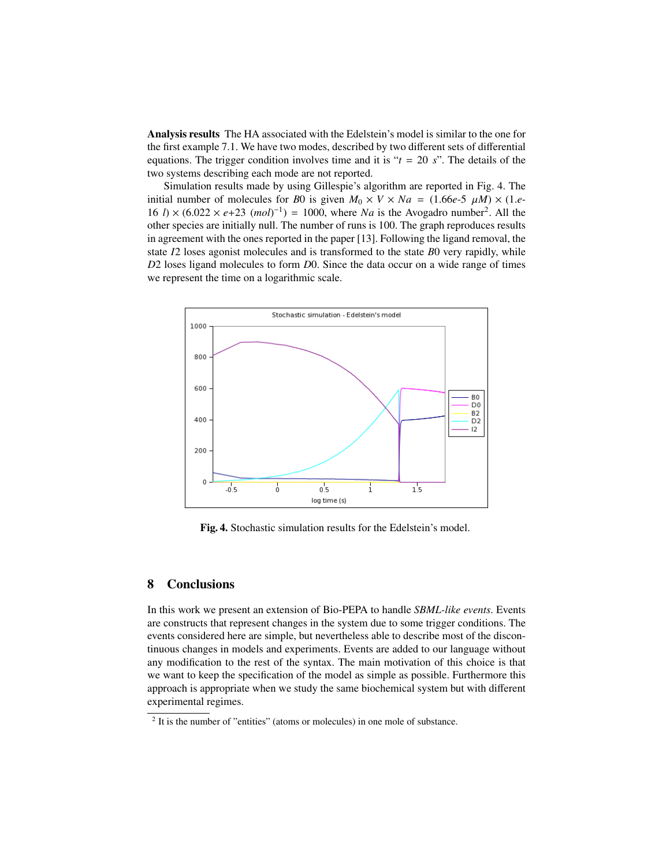Analysis results The HA associated with the Edelstein's model is similar to the one for the first example 7.1. We have two modes, described by two different sets of differential equations. The trigger condition involves time and it is " $t = 20 s$ ". The details of the two systems describing each mode are not reported.

Simulation results made by using Gillespie's algorithm are reported in Fig. 4. The initial number of molecules for *B*0 is given  $M_0 \times V \times Na = (1.66e-5 \mu) \times (1.e-1)$  $16 l$ ) ×  $(6.022 \times e+23 \ (mol)^{-1}) = 1000$ , where *Na* is the Avogadro number<sup>2</sup>. All the other species are initially null. The number of runs is 100. The graph reproduces results other species are initially null. The number of runs is 100. The graph reproduces results in agreement with the ones reported in the paper [13]. Following the ligand removal, the state *I*2 loses agonist molecules and is transformed to the state *B*0 very rapidly, while *D*2 loses ligand molecules to form *D*0. Since the data occur on a wide range of times we represent the time on a logarithmic scale.



Fig. 4. Stochastic simulation results for the Edelstein's model.

## 8 Conclusions

In this work we present an extension of Bio-PEPA to handle *SBML-like events*. Events are constructs that represent changes in the system due to some trigger conditions. The events considered here are simple, but nevertheless able to describe most of the discontinuous changes in models and experiments. Events are added to our language without any modification to the rest of the syntax. The main motivation of this choice is that we want to keep the specification of the model as simple as possible. Furthermore this approach is appropriate when we study the same biochemical system but with different experimental regimes.

<sup>&</sup>lt;sup>2</sup> It is the number of "entities" (atoms or molecules) in one mole of substance.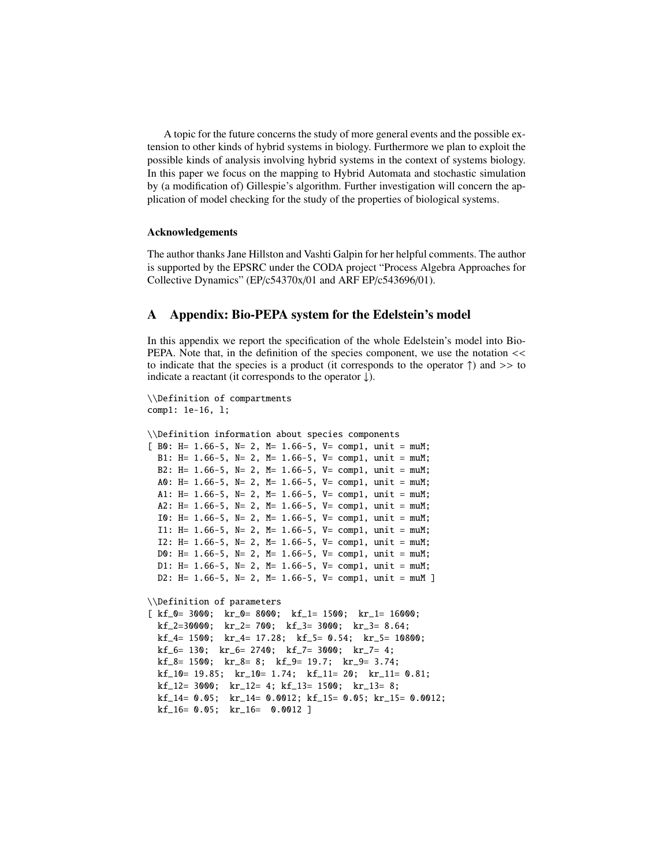A topic for the future concerns the study of more general events and the possible extension to other kinds of hybrid systems in biology. Furthermore we plan to exploit the possible kinds of analysis involving hybrid systems in the context of systems biology. In this paper we focus on the mapping to Hybrid Automata and stochastic simulation by (a modification of) Gillespie's algorithm. Further investigation will concern the application of model checking for the study of the properties of biological systems.

### Acknowledgements

The author thanks Jane Hillston and Vashti Galpin for her helpful comments. The author is supported by the EPSRC under the CODA project "Process Algebra Approaches for Collective Dynamics" (EP/c54370x/01 and ARF EP/c543696/01).

## A Appendix: Bio-PEPA system for the Edelstein's model

In this appendix we report the specification of the whole Edelstein's model into Bio-PEPA. Note that, in the definition of the species component, we use the notation  $<<$ to indicate that the species is a product (it corresponds to the operator  $\uparrow$ ) and  $\rightarrow$  to indicate a reactant (it corresponds to the operator  $\downarrow$ ).

\\Definition of compartments comp1: 1e-16, l;

\\Definition information about species components

```
[ B0: H= 1.66-5, N= 2, M= 1.66-5, V= comp1, unit = muM;
 B1: H= 1.66-5, N= 2, M= 1.66-5, V= comp1, unit = muM;
 B2: H= 1.66-5, N= 2, M= 1.66-5, V= comp1, unit = muM;
 A0: H= 1.66-5, N= 2, M= 1.66-5, V= comp1, unit = muM;
 A1: H= 1.66-5, N= 2, M= 1.66-5, V= comp1, unit = muM;
 A2: H= 1.66-5, N= 2, M= 1.66-5, V= comp1, unit = muM;
 I0: H= 1.66-5, N= 2, M= 1.66-5, V= comp1, unit = muM;
 I1: H= 1.66-5, N= 2, M= 1.66-5, V= comp1, unit = muM;
 I2: H= 1.66-5, N= 2, M= 1.66-5, V= comp1, unit = muM;
 D0: H= 1.66-5, N= 2, M= 1.66-5, V= comp1, unit = muM;
 D1: H= 1.66-5, N= 2, M= 1.66-5, V= comp1, unit = muM;
 D2: H= 1.66-5, N= 2, M= 1.66-5, V= comp1, unit = muM ]
```
\\Definition of parameters

```
[ kf_0= 3000; kr_0= 8000; kf_1= 1500; kr_1= 16000;
 kf_2=30000; kr_2= 700; kf_3= 3000; kr_3= 8.64;
 kf_4= 1500; kr_4= 17.28; kf_5= 0.54; kr_5= 10800;
 kf_{-6} = 130; kr_{-6} = 2740; kf_{-7} = 3000; kr_{-7} = 4;
 kf_8= 1500; kr_8= 8; kf_9= 19.7; kr_9= 3.74;
 kf_10= 19.85; kr_10= 1.74; kf_11= 20; kr_11= 0.81;
 kf_12= 3000; kr_12= 4; kf_13= 1500; kr_13= 8;
 kf_14= 0.05; kr_14= 0.0012; kf_15= 0.05; kr_15= 0.0012;
 kf_16= 0.05; kr_16= 0.0012]
```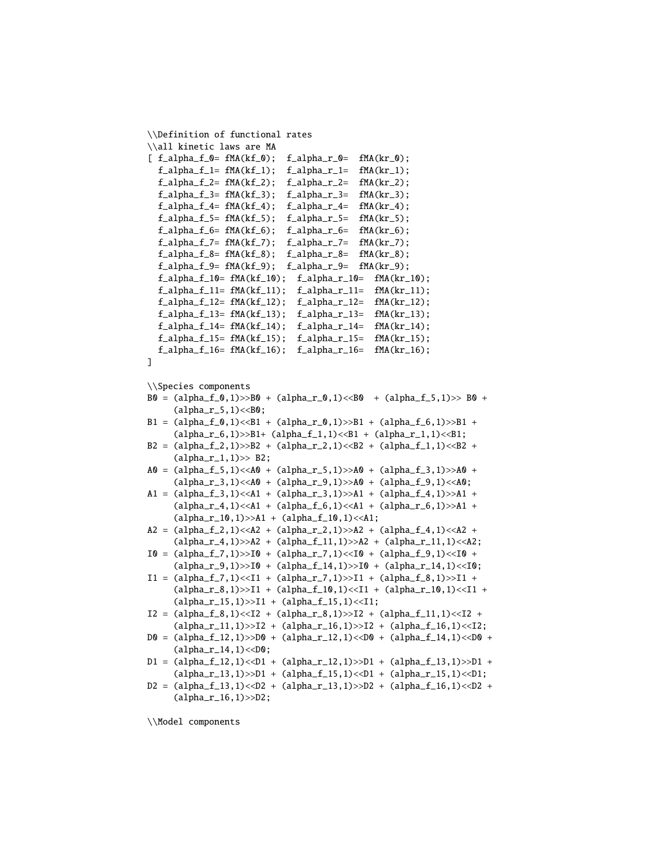```
\\Definition of functional rates
\\all kinetic laws are MA
[f_\alpha]<sub>1</sub> f_\alpha = f_\alpha<sub>1</sub> k = f_\alpha<sub>1</sub>(kf_\alpha); f_\alpha<sub>1</sub>j = f_\alpha<sub>1</sub>k = f_\alpha<sub>1</sub>(kf_\alpha);
   f_\text{alpha}_f_1 = f_\text{MA}(kf_1); f_\text{alpha}_r_1 = f_\text{MA}(kr_1);f_\text{alpha-f_2= fMA(kf_2); f_\text{alpha-r_2= fMA(kr_2);}f_\text{alpha_f_3= fMA(kf_3); f_\text{alpha_r_3= fMA(kr_3);}f_\text{alpha_f_4= fMA(kf_4); f_\text{alpha_f_4= fMA(kr_4);}f_\text{alpha_f_5= fMA(kf_5); f_\text{alpha_r_5= fMA(kr_5);}f_\text{alpha_f_6= fMA(kf_6); f_\text{alpha_r_6= fMA(kr_6);}f_\text{alpha_f_7= fMA(kf_7); f_\text{alpha_r_7= fMA(kr_7);}f_\text{alpha_f_8= fMA(kf_8); f_\text{alpha_f_8= fMA(kr_8);}f_\text{alpha_f_9= fMA(kf_9); f_\text{alpha_r_9= fMA(kr_9);}f_{alpha_f_10} = f_{MA}(kf_10); f_{alpha_f_10} = f_{MA}(kr_10);f_\text{alpha_f_11} = f_\text{MA}(kf_\text{11}); f_\text{alpha_f_11} = f_\text{MA}(kr_\text{11});f_\text{alpha-f_12= fMA(kf_12); f_\text{alpha-r_12= fMA(kr_12);}f_{\text{alpha}}f_{\text{l3}}=f_{\text{MA}}(kf_{\text{l3}}); f_{\text{alpha}}r_{\text{l3}}=f_{\text{MA}}(kr_{\text{l3}});f_{alpha-f_14= fMA(kf_14); f_{alpha-r_14= fMA(kr_14);}f_{alpha_f_15} = fMA(kf_15); f_{alpha_f_15} = fMA(kr_15);f_\text{alpha_f_16} = f_\text{MA}(kf_\text{16}); f_\text{alpha_f_16} = f_\text{MA}(kr_\text{16});]
\\Species components
B0 = (alpha_f_0,1) >> B0 + (alpha_f_0,1) << B0 + (alpha_f_0,1)(alpha_r_5, 1) < B0;B1 = (alpha_f_0,1) < B1 + (alpha_r_0,1) >>B1 + (alpha_f_6,1) >>B1 +
        (alpha_r_6, 1) >> B1+ (alpha_f_1, 1) << B1 + (alpha_r_1, 1) << B1;B2 = (alpha_f_2, 1) >>B2 + (alpha_f_2, 1) \leq B2 + (alpha_f_1, 1) \leq B2 +
        (alpha_r_1, 1) >> B2;A0 = (alpha_f 5, 1) \times A0 + (alpha_f 5, 1) \times A0 + (alpha_f 5, 1) \times A0 + (alpha_f 3, 1) \times A0 + (alpha_f 5, 1) \times A0 + (alpha_f 5, 1) \times A0 + (alpha_f 5, 1) \times A0 + (alpha_f 5, 1) \times A0 + (alpha_f 5, 1) \times A0 + (alpha_f 5, 1) \times A0 + (alpha_f 5, 1) \times A0 + (alpha_f 5, 1) \times A0 + (alpha_f 5, 1) \times A0 + (alpha_f 5, 1) \times A0 + (alpha_f 5, 1) \times A0 + (alpha_f 5, (alpha_r_3,1) <<A0 + (alpha_r_9,1) >>A0 + (alpha_f_9,1) <<A0;A1 = (alpha_f_3, 1) \times A1 + (alpha_r_3, 1) \times A1 + (alpha_f_4, 1) \times A1 + (1) \times A1 + (1) \times A1 + (2) \times A1 + (2) \times A1 + (3) \times A1 + (4) \times A1 + (5) \times A1 + (6) \times A1 + (7) \times A1 + (8) \times A1 + (9) \times A1 + (10) \times A1 + (11) \times A1 + (12) \times A1 + (13) \times A1 + (14) \times A1 + (15) \times A1 + (16) \times A1 + (17) \times A1 + (18) \times A1 + (19) \times(alpha_r_4,1) << A1 + (alpha_f_6,1) << A1 + (alpha_r_6,1) >>A1 +
        (alpha_r_10,1)>>A1 + (alpha_f_10,1)<<A1;
A2 = (alpha_f12, 1) \times A2 + (alpha_f2, 1) \times A2 + (alpha_f2, 1) \times A2 + (alpha_f4, 1) \times A2 + (alpha_f4, 1) \times A2 + (alpha_f4, 1) \times A2 + (alpha_f4, 1) \times A2 + (alpha_f4, 1) \times A2 + (alpha_f4, 1) \times A2 + (alpha_f4, 1) \times A2 + (alpha_f4, 1) \times A2 + (alpha_f4, 1) \times A2 + (alpha_f4, 1) \times A2 + (alpha_f4, 1) \times A2 + (alpha_f4, 1) \times A2 + (alpha_f4, 1) \times A2 + (alpha_f4, 1)(alpha_r_4,1)>>A2 + (alpha_f_1,1)>>A2 + (alpha_r_1,1)<<A2;I0 = (alpha_f, 1) >> I0 + (alpha_f, 1) << I0 + (alpha_f, 1)(alpha_r_9,1)>>I0 + (alpha_f_1,1)>>I0 + (alpha_r_1,1)<<I0;I1 = (alpha_f1, 1) \times I1 + (alpha_f2, 1) \times I1 + (alpha_f2, 1) \times I1 + (alpha_f4, 1) \times I1 +(alpha_r_8,1)>>I1 + (alpha_f_10,1)<<I1 + (alpha_f_10,1) + (alpha_r_10,1) <<I1 +
        (alpha_r_15,1) >> I1 + (alpha_f_15,1) << I1;I2 = (alpha_f 1) < I2 + (alpha_r 8, 1) > I2 + (alpha_f 1, 1) < I2 +(alpha_r_11,1)>>I2 + (alpha_r_16,1)>>I2 + (alpha_f_16,1)<<I2;D0 = (alpha_f 12, 1) >> D0 + (alpha_r 12, 1) << D0 + (alpha_f 14, 1) << D0 +(alpha_r_14,1)<200;D1 = (alpha_f 12, 1) \times D1 + (alpha_r 12, 1) \times D1 + (alpha_f 12, 1) \times D1 +(alpha_r_13,1) >>D1 + (alpha_f_15,1) <01 + (alpha_r_15,1) <01 + (alpha_r_15,1) <01;
D2 = (alpha_f 13,1) \times D2 + (alpha_r 13,1) \times D2 + (alpha_r 13,1) \times D2 +(alpha_r_16,1)>>D2;
```
\\Model components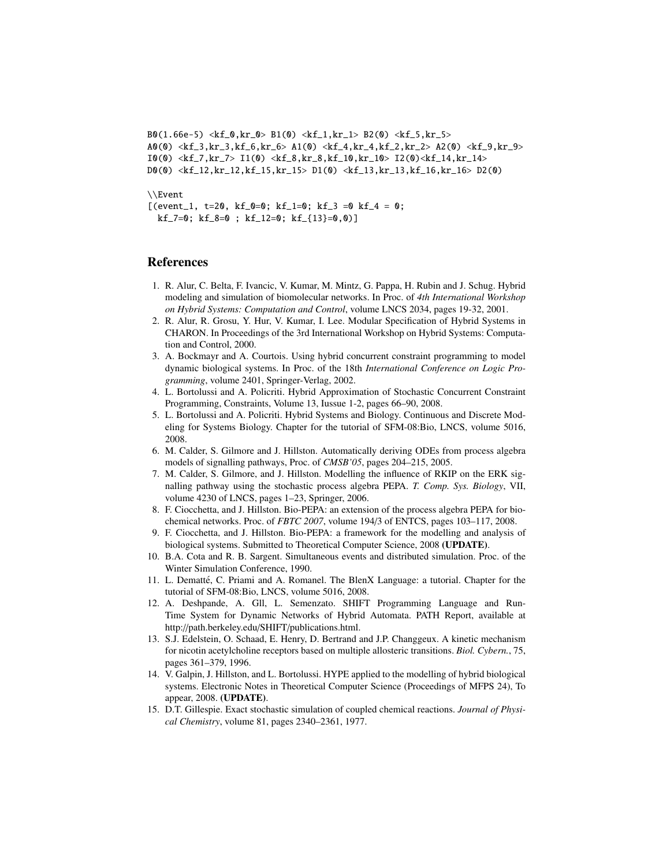```
B0(1.66e-5) \langle kf_0, kr_0 \rangle B1(0) \langle kf_1, kr_1 \rangle B2(0) \langle kf_5, kr_5 \rangleA0(0) <kf_3,kr_3,kf_6,kr_6> A1(0) <kf_4,kr_4,kf_2,kr_2> A2(0) <kf_9,kr_9>
I(0) <kf_7, kr_7> I(0) <kf_8, kr_8, kf_10, kr_10> I(0) <kf_14, kr_14>
D(0) <kf_12,kr_12,kf_15,kr_15> D1(0) <kf_13,kr_13,kf_16,kr_16> D2(0)
\\Event
[(event_1, t=20, kf_0=0; kf_1=0; kf_3=0 kf_4=0;kf_7=0; kf_8=0; kf_12=0; kf_{13}=0,0]
```
## References

- 1. R. Alur, C. Belta, F. Ivancic, V. Kumar, M. Mintz, G. Pappa, H. Rubin and J. Schug. Hybrid modeling and simulation of biomolecular networks. In Proc. of *4th International Workshop on Hybrid Systems: Computation and Control*, volume LNCS 2034, pages 19-32, 2001.
- 2. R. Alur, R. Grosu, Y. Hur, V. Kumar, I. Lee. Modular Specification of Hybrid Systems in CHARON. In Proceedings of the 3rd International Workshop on Hybrid Systems: Computation and Control, 2000.
- 3. A. Bockmayr and A. Courtois. Using hybrid concurrent constraint programming to model dynamic biological systems. In Proc. of the 18th *International Conference on Logic Programming*, volume 2401, Springer-Verlag, 2002.
- 4. L. Bortolussi and A. Policriti. Hybrid Approximation of Stochastic Concurrent Constraint Programming, Constraints, Volume 13, Iussue 1-2, pages 66–90, 2008.
- 5. L. Bortolussi and A. Policriti. Hybrid Systems and Biology. Continuous and Discrete Modeling for Systems Biology. Chapter for the tutorial of SFM-08:Bio, LNCS, volume 5016, 2008.
- 6. M. Calder, S. Gilmore and J. Hillston. Automatically deriving ODEs from process algebra models of signalling pathways, Proc. of *CMSB'05*, pages 204–215, 2005.
- 7. M. Calder, S. Gilmore, and J. Hillston. Modelling the influence of RKIP on the ERK signalling pathway using the stochastic process algebra PEPA. *T. Comp. Sys. Biology*, VII, volume 4230 of LNCS, pages 1–23, Springer, 2006.
- 8. F. Ciocchetta, and J. Hillston. Bio-PEPA: an extension of the process algebra PEPA for biochemical networks. Proc. of *FBTC 2007*, volume 194/3 of ENTCS, pages 103–117, 2008.
- 9. F. Ciocchetta, and J. Hillston. Bio-PEPA: a framework for the modelling and analysis of biological systems. Submitted to Theoretical Computer Science, 2008 (UPDATE).
- 10. B.A. Cota and R. B. Sargent. Simultaneous events and distributed simulation. Proc. of the Winter Simulation Conference, 1990.
- 11. L. Dematté, C. Priami and A. Romanel. The BlenX Language: a tutorial. Chapter for the tutorial of SFM-08:Bio, LNCS, volume 5016, 2008.
- 12. A. Deshpande, A. Gll, L. Semenzato. SHIFT Programming Language and Run-Time System for Dynamic Networks of Hybrid Automata. PATH Report, available at http://path.berkeley.edu/SHIFT/publications.html.
- 13. S.J. Edelstein, O. Schaad, E. Henry, D. Bertrand and J.P. Changgeux. A kinetic mechanism for nicotin acetylcholine receptors based on multiple allosteric transitions. *Biol. Cybern.*, 75, pages 361–379, 1996.
- 14. V. Galpin, J. Hillston, and L. Bortolussi. HYPE applied to the modelling of hybrid biological systems. Electronic Notes in Theoretical Computer Science (Proceedings of MFPS 24), To appear, 2008. (UPDATE).
- 15. D.T. Gillespie. Exact stochastic simulation of coupled chemical reactions. *Journal of Physical Chemistry*, volume 81, pages 2340–2361, 1977.